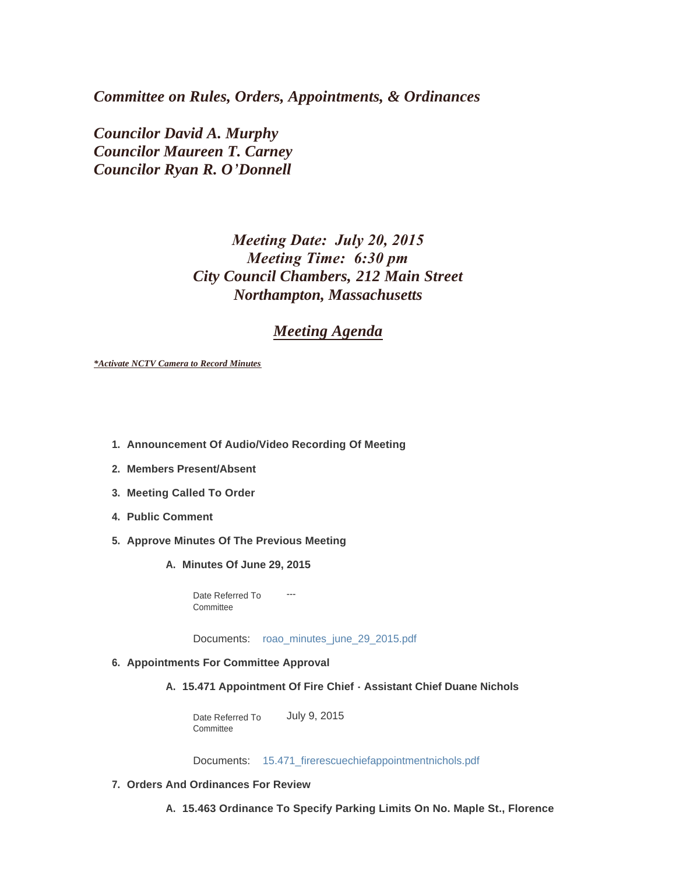*Committee on Rules, Orders, Appointments, & Ordinances*

*Councilor David A. Murphy Councilor Maureen T. Carney Councilor Ryan R. O'Donnell*

# *Meeting Date: July 20, 2015 Meeting Time: 6:30 pm City Council Chambers, 212 Main Street Northampton, Massachusetts*

# *Meeting Agenda*

*\*Activate NCTV Camera to Record Minutes*

- **Announcement Of Audio/Video Recording Of Meeting 1.**
- **Members Present/Absent 2.**
- **Meeting Called To Order 3.**
- **Public Comment 4.**
- **Approve Minutes Of The Previous Meeting 5.**
	- **Minutes Of June 29, 2015 A.**

Date Referred To ---**Committee** 

Documents: roao\_minutes\_june\_29\_2015.pdf

#### **Appointments For Committee Approval 6.**

#### **15.471 Appointment Of Fire Chief - Assistant Chief Duane Nichols A.**

Date Referred To July 9, 2015 **Committee** 

Documents: 15.471\_firerescuechiefappointmentnichols.pdf

#### **Orders And Ordinances For Review 7.**

**15.463 Ordinance To Specify Parking Limits On No. Maple St., Florence A.**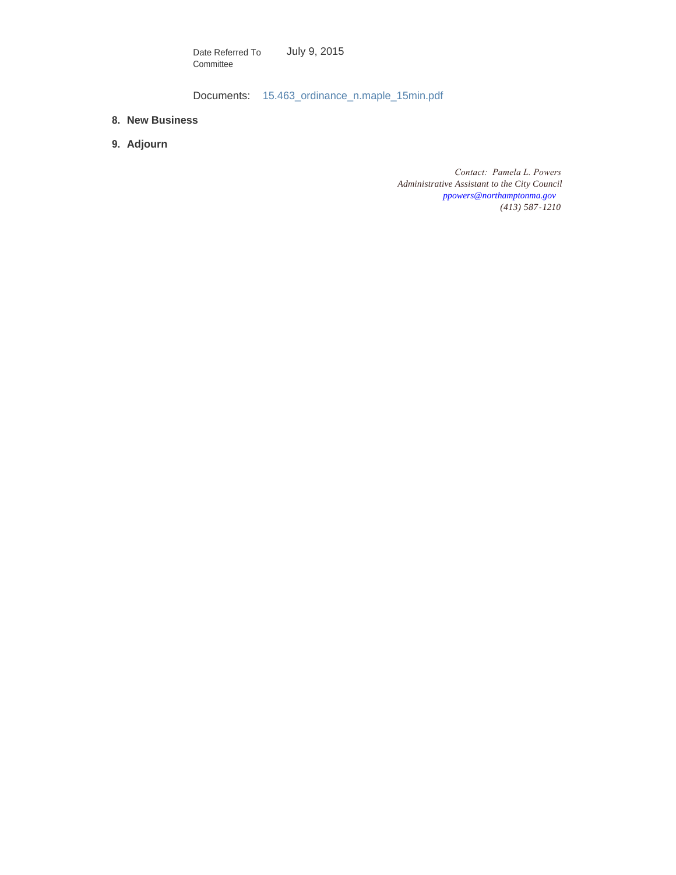July 9, 2015 Date Referred To Committee

Documents: 15.463\_ordinance\_n.maple\_15min.pdf

- **New Business 8.**
- **Adjourn 9.**

*Contact: Pamela L. Powers Administrative Assistant to the City Council [ppowers@northamptonma.gov](mailto:ppowers@northamptonma.gov) (413) 587-1210*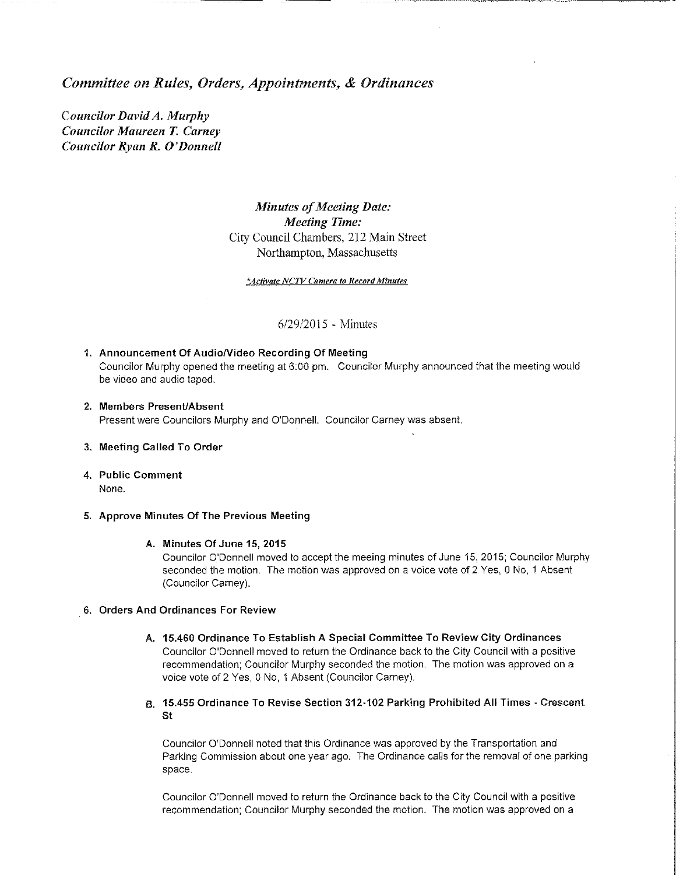#### Committee on Rules, Orders, Appointments, & Ordinances

Councilor David A. Murphy **Councilor Maureen T. Carney** Councilor Ryan R. O'Donnell

## **Minutes of Meeting Date: Meeting Time:** City Council Chambers, 212 Main Street Northampton, Massachusetts

#### \*Activate NCTV Camera to Record Minutes

6/29/2015 - Minutes

- 1. Announcement Of Audio/Video Recording Of Meeting Councilor Murphy opened the meeting at 6:00 pm. Councilor Murphy announced that the meeting would be video and audio taped.
- 2. Members Present/Absent Present were Councilors Murphy and O'Donnell. Councilor Carney was absent.
- 3. Meeting Called To Order
- 4. Public Comment None.

#### 5. Approve Minutes Of The Previous Meeting

#### A. Minutes Of June 15, 2015

Councilor O'Donnell moved to accept the meeing minutes of June 15, 2015; Councilor Murphy seconded the motion. The motion was approved on a voice vote of 2 Yes, 0 No, 1 Absent (Councilor Carney).

#### 6. Orders And Ordinances For Review

- A. 15.460 Ordinance To Establish A Special Committee To Review City Ordinances Councilor O'Donnell moved to return the Ordinance back to the City Council with a positive recommendation; Councilor Murphy seconded the motion. The motion was approved on a voice vote of 2 Yes, 0 No, 1 Absent (Councilor Carney).
- B. 15.455 Ordinance To Revise Section 312-102 Parking Prohibited All Times Crescent St

Councilor O'Donnell noted that this Ordinance was approved by the Transportation and Parking Commission about one year ago. The Ordinance calls for the removal of one parking space.

Councilor O'Donnell moved to return the Ordinance back to the City Council with a positive recommendation; Councilor Murphy seconded the motion. The motion was approved on a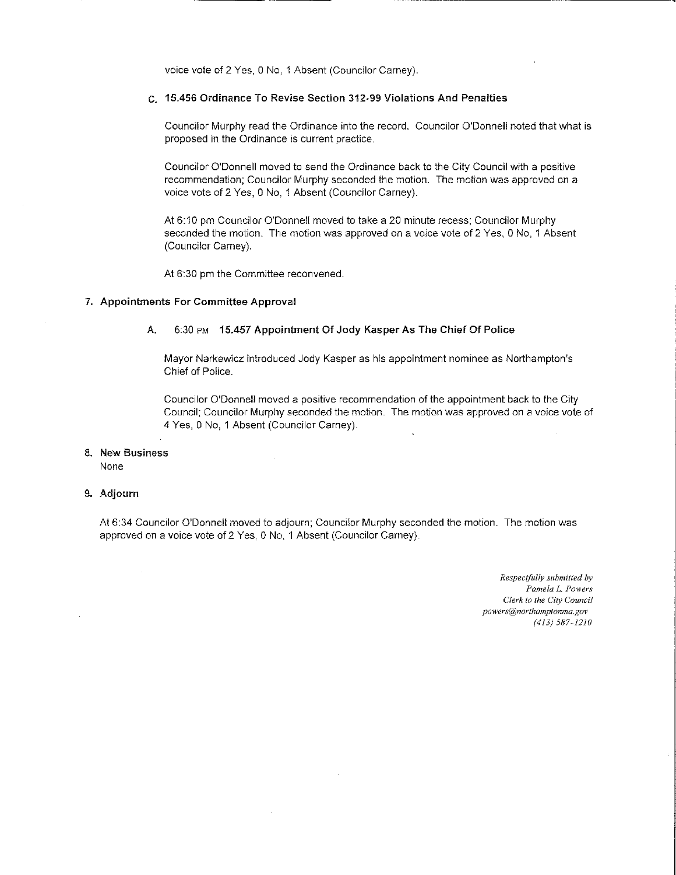voice vote of 2 Yes, 0 No, 1 Absent (Councilor Carney).

#### C. 15.456 Ordinance To Revise Section 312-99 Violations And Penalties

Councilor Murphy read the Ordinance into the record. Councilor O'Donnell noted that what is proposed in the Ordinance is current practice.

Councilor O'Donnell moved to send the Ordinance back to the City Council with a positive recommendation; Councilor Murphy seconded the motion. The motion was approved on a voice vote of 2 Yes, 0 No, 1 Absent (Councilor Carney).

At 6:10 pm Councilor O'Donnell moved to take a 20 minute recess; Councilor Murphy seconded the motion. The motion was approved on a voice vote of 2 Yes, 0 No, 1 Absent (Councilor Carney).

At 6:30 pm the Committee reconvened.

#### 7. Appointments For Committee Approval

#### 6:30 PM 15.457 Appointment Of Jody Kasper As The Chief Of Police A.

Mayor Narkewicz introduced Jody Kasper as his appointment nominee as Northampton's Chief of Police.

Councilor O'Donnell moved a positive recommendation of the appointment back to the City Council: Councilor Murphy seconded the motion. The motion was approved on a voice vote of 4 Yes, 0 No, 1 Absent (Councilor Carney).

#### 8. New Business

None

#### 9. Adjourn

At 6:34 Councilor O'Donnell moved to adjourn; Councilor Murphy seconded the motion. The motion was approved on a voice vote of 2 Yes, 0 No, 1 Absent (Councilor Carney).

> Respectfully submitted by Pamela L. Powers Clerk to the City Council powers@northamptonma.gov  $(413) 587 - 1210$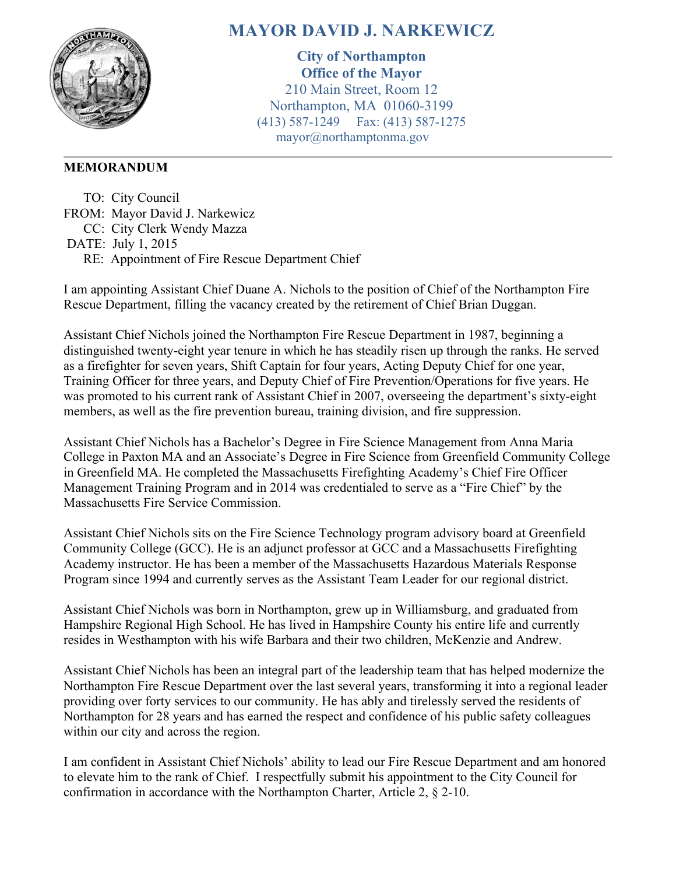

# **MAYOR DAVID J. NARKEWICZ**

**City of Northampton Office of the Mayor** 210 Main Street, Room 12 Northampton, MA 01060-3199 (413) 587-1249 Fax: (413) 587-1275 mayor@northamptonma.gov

# **MEMORANDUM**

 TO: City Council FROM: Mayor David J. Narkewicz CC: City Clerk Wendy Mazza DATE: July 1, 2015 RE: Appointment of Fire Rescue Department Chief

I am appointing Assistant Chief Duane A. Nichols to the position of Chief of the Northampton Fire Rescue Department, filling the vacancy created by the retirement of Chief Brian Duggan.

Assistant Chief Nichols joined the Northampton Fire Rescue Department in 1987, beginning a distinguished twenty-eight year tenure in which he has steadily risen up through the ranks. He served as a firefighter for seven years, Shift Captain for four years, Acting Deputy Chief for one year, Training Officer for three years, and Deputy Chief of Fire Prevention/Operations for five years. He was promoted to his current rank of Assistant Chief in 2007, overseeing the department's sixty-eight members, as well as the fire prevention bureau, training division, and fire suppression.

Assistant Chief Nichols has a Bachelor's Degree in Fire Science Management from Anna Maria College in Paxton MA and an Associate's Degree in Fire Science from Greenfield Community College in Greenfield MA. He completed the Massachusetts Firefighting Academy's Chief Fire Officer Management Training Program and in 2014 was credentialed to serve as a "Fire Chief" by the Massachusetts Fire Service Commission.

Assistant Chief Nichols sits on the Fire Science Technology program advisory board at Greenfield Community College (GCC). He is an adjunct professor at GCC and a Massachusetts Firefighting Academy instructor. He has been a member of the Massachusetts Hazardous Materials Response Program since 1994 and currently serves as the Assistant Team Leader for our regional district.

Assistant Chief Nichols was born in Northampton, grew up in Williamsburg, and graduated from Hampshire Regional High School. He has lived in Hampshire County his entire life and currently resides in Westhampton with his wife Barbara and their two children, McKenzie and Andrew.

Assistant Chief Nichols has been an integral part of the leadership team that has helped modernize the Northampton Fire Rescue Department over the last several years, transforming it into a regional leader providing over forty services to our community. He has ably and tirelessly served the residents of Northampton for 28 years and has earned the respect and confidence of his public safety colleagues within our city and across the region.

I am confident in Assistant Chief Nichols' ability to lead our Fire Rescue Department and am honored to elevate him to the rank of Chief. I respectfully submit his appointment to the City Council for confirmation in accordance with the Northampton Charter, Article 2, § 2-10.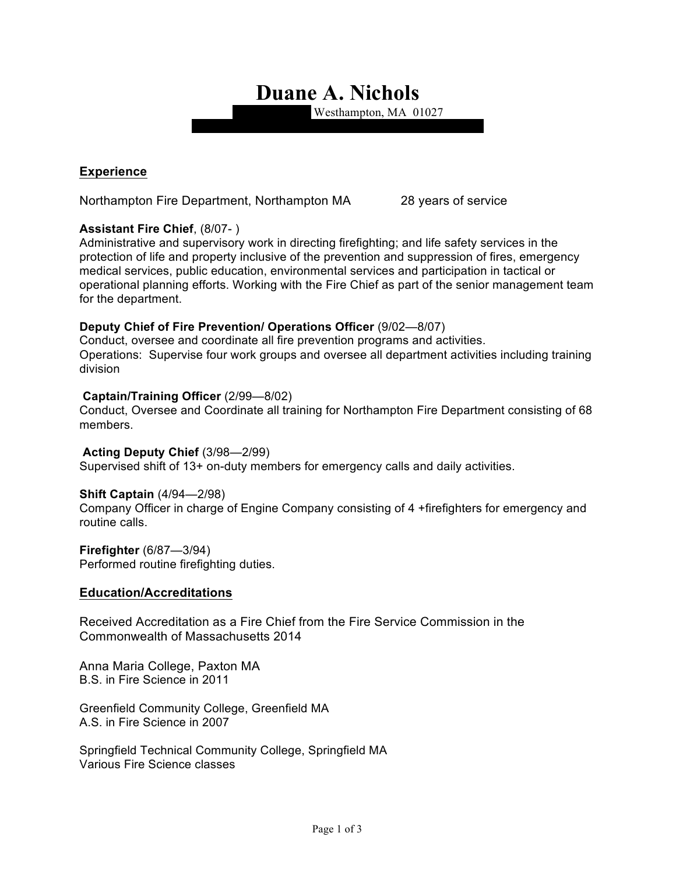**Duane A. Nichols**

Westhampton, MA 01027

## **Experience**

Northampton Fire Department, Northampton MA 28 years of service

## **Assistant Fire Chief**, (8/07- )

Administrative and supervisory work in directing firefighting; and life safety services in the protection of life and property inclusive of the prevention and suppression of fires, emergency medical services, public education, environmental services and participation in tactical or operational planning efforts. Working with the Fire Chief as part of the senior management team for the department.

## **Deputy Chief of Fire Prevention/ Operations Officer** (9/02—8/07)

Conduct, oversee and coordinate all fire prevention programs and activities. Operations: Supervise four work groups and oversee all department activities including training division

#### **Captain/Training Officer** (2/99—8/02)

Conduct, Oversee and Coordinate all training for Northampton Fire Department consisting of 68 members.

## **Acting Deputy Chief** (3/98—2/99)

Supervised shift of 13+ on-duty members for emergency calls and daily activities.

## **Shift Captain** (4/94—2/98)

Company Officer in charge of Engine Company consisting of 4 +firefighters for emergency and routine calls.

**Firefighter** (6/87—3/94) Performed routine firefighting duties.

## **Education/Accreditations**

Received Accreditation as a Fire Chief from the Fire Service Commission in the Commonwealth of Massachusetts 2014

Anna Maria College, Paxton MA B.S. in Fire Science in 2011

Greenfield Community College, Greenfield MA A.S. in Fire Science in 2007

Springfield Technical Community College, Springfield MA Various Fire Science classes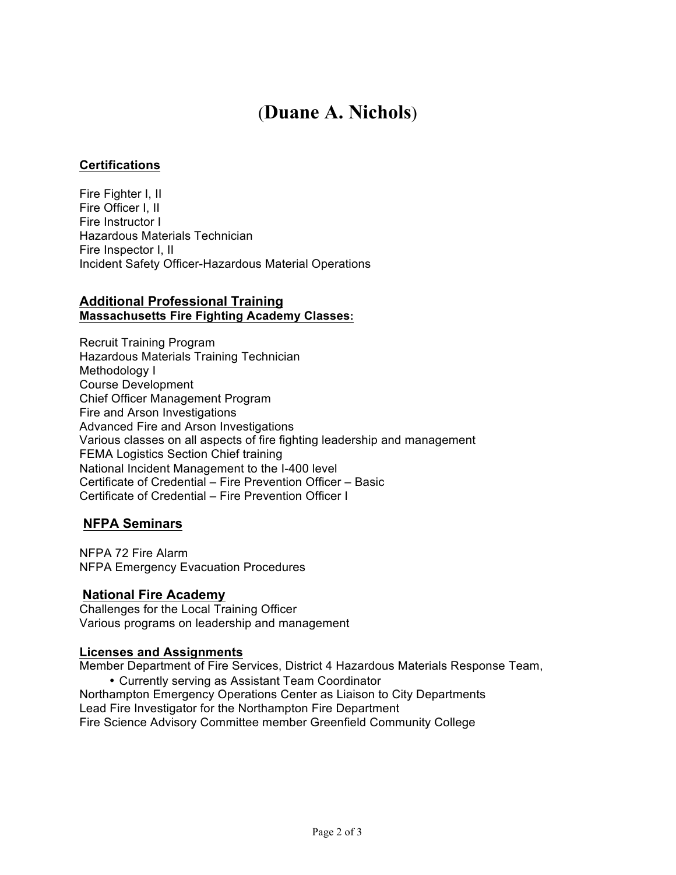# (**Duane A. Nichols**)

## **Certifications**

Fire Fighter I, II Fire Officer I, II Fire Instructor I Hazardous Materials Technician Fire Inspector I, II Incident Safety Officer-Hazardous Material Operations

## **Additional Professional Training Massachusetts Fire Fighting Academy Classes:**

Recruit Training Program Hazardous Materials Training Technician Methodology I Course Development Chief Officer Management Program Fire and Arson Investigations Advanced Fire and Arson Investigations Various classes on all aspects of fire fighting leadership and management FEMA Logistics Section Chief training National Incident Management to the I-400 level Certificate of Credential – Fire Prevention Officer – Basic Certificate of Credential – Fire Prevention Officer I

## **NFPA Seminars**

NFPA 72 Fire Alarm NFPA Emergency Evacuation Procedures

## **National Fire Academy**

Challenges for the Local Training Officer Various programs on leadership and management

#### **Licenses and Assignments**

Member Department of Fire Services, District 4 Hazardous Materials Response Team,

• Currently serving as Assistant Team Coordinator Northampton Emergency Operations Center as Liaison to City Departments Lead Fire Investigator for the Northampton Fire Department Fire Science Advisory Committee member Greenfield Community College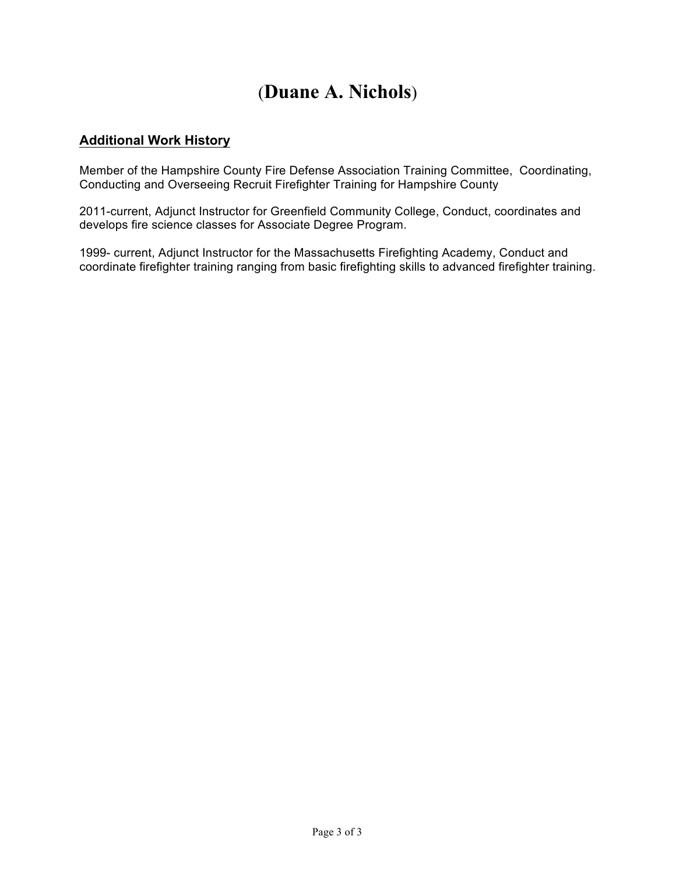# (**Duane A. Nichols**)

# **Additional Work History**

Member of the Hampshire County Fire Defense Association Training Committee, Coordinating, Conducting and Overseeing Recruit Firefighter Training for Hampshire County

2011-current, Adjunct Instructor for Greenfield Community College, Conduct, coordinates and develops fire science classes for Associate Degree Program.

1999- current, Adjunct Instructor for the Massachusetts Firefighting Academy, Conduct and coordinate firefighter training ranging from basic firefighting skills to advanced firefighter training.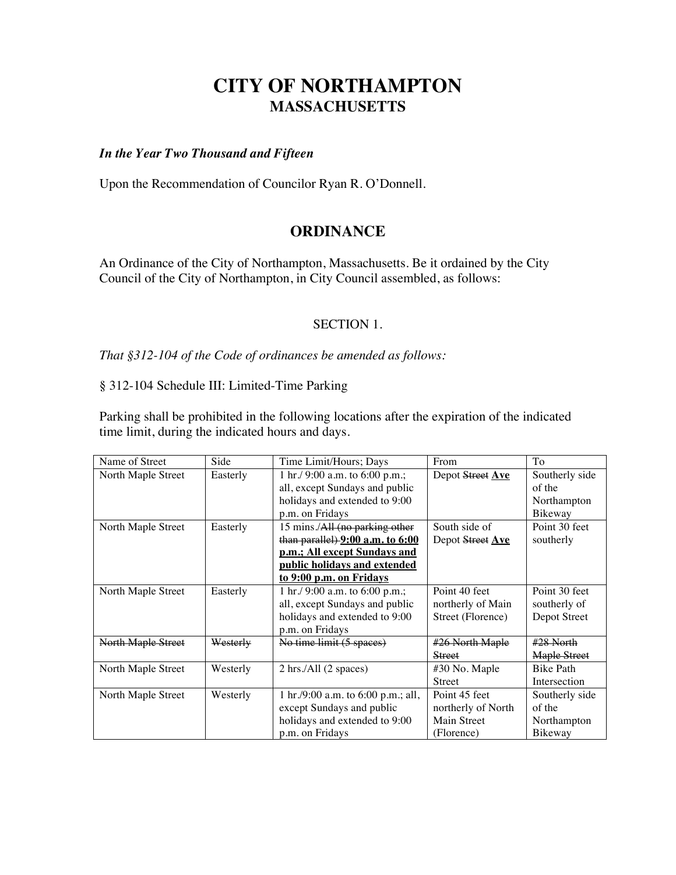# **CITY OF NORTHAMPTON MASSACHUSETTS**

## *In the Year Two Thousand and Fifteen*

Upon the Recommendation of Councilor Ryan R. O'Donnell.

# **ORDINANCE**

An Ordinance of the City of Northampton, Massachusetts. Be it ordained by the City Council of the City of Northampton, in City Council assembled, as follows:

#### SECTION 1.

*That §312-104 of the Code of ordinances be amended as follows:*

# § 312-104 Schedule III: Limited-Time Parking

Parking shall be prohibited in the following locations after the expiration of the indicated time limit, during the indicated hours and days.

| Name of Street     | Side     | Time Limit/Hours; Days             | From               | To               |
|--------------------|----------|------------------------------------|--------------------|------------------|
| North Maple Street | Easterly | 1 hr./ 9:00 a.m. to 6:00 p.m.;     | Depot Street Ave   | Southerly side   |
|                    |          | all, except Sundays and public     |                    | of the           |
|                    |          | holidays and extended to 9:00      |                    | Northampton      |
|                    |          | p.m. on Fridays                    |                    | Bikeway          |
| North Maple Street | Easterly | 15 mins./All (no parking other     | South side of      | Point 30 feet    |
|                    |          | than parallel) 9:00 a.m. to 6:00   | Depot Street Ave   | southerly        |
|                    |          | p.m.; All except Sundays and       |                    |                  |
|                    |          | public holidays and extended       |                    |                  |
|                    |          | to 9:00 p.m. on Fridays            |                    |                  |
| North Maple Street | Easterly | 1 hr./ 9:00 a.m. to 6:00 p.m.;     | Point 40 feet      | Point 30 feet    |
|                    |          | all, except Sundays and public     | northerly of Main  | southerly of     |
|                    |          | holidays and extended to 9:00      | Street (Florence)  | Depot Street     |
|                    |          | p.m. on Fridays                    |                    |                  |
| North Maple Street | Westerly | No time limit (5 spaces)           | #26 North Maple    | $#28$ North      |
|                    |          |                                    | <b>Street</b>      | Maple Street     |
| North Maple Street | Westerly | 2 hrs./All (2 spaces)              | #30 No. Maple      | <b>Bike Path</b> |
|                    |          |                                    | <b>Street</b>      | Intersection     |
| North Maple Street | Westerly | 1 hr./9:00 a.m. to 6:00 p.m.; all, | Point 45 feet      | Southerly side   |
|                    |          | except Sundays and public          | northerly of North | of the           |
|                    |          | holidays and extended to 9:00      | Main Street        | Northampton      |
|                    |          | p.m. on Fridays                    | (Florence)         | Bikeway          |